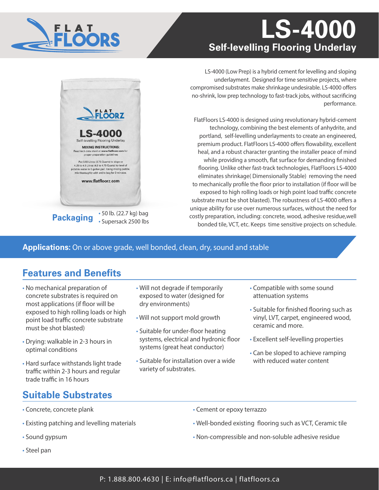# **LS-4000 Self-levelling Flooring Underlay**



LS-4000 (Low Prep) is a hybrid cement for levelling and sloping underlayment. Designed for time sensitive projects, where compromised substrates make shrinkage undesirable. LS-4000 offers no-shrink, low prep technology to fast-track jobs, without sacrificing performance.

FlatFloors LS-4000 is designed using revolutionary hybrid-cement technology, combining the best elements of anhydrite, and portland, self-levelling underlayments to create an engineered, premium product. FlatFloors LS-4000 offers flowability, excellent heal, and a robust character granting the installer peace of mind while providing a smooth, flat surface for demanding finished flooring. Unlike other fast-track technologies, FlatFloors LS-4000 eliminates shrinkage( Dimensionally Stable) removing the need to mechanically profile the floor prior to installation (if floor will be exposed to high rolling loads or high point load traffic concrete substrate must be shot blasted). The robustness of LS-4000 offers a unique ability for use over numerous surfaces, without the need for costly preparation, including: concrete, wood, adhesive residue,well bonded tile, VCT, etc. Keeps time sensitive projects on schedule.

### **Applications:** On or above grade, well bonded, clean, dry, sound and stable

## **Features and Benefits**

**Packaging** • 50 lb. (22.7 kg) bag

FLOORZ

**LS-4000** Self-levelling Flooring Underlay **MIXING INSTRUCTIONS:** ch data sheet at www.flatfloorz.com for<br>proper preparation guidelines

Put 3.55 Litres (3.75 Quarts) to slope or 4.25 to 4.5 Litres (4.5 to 4.75 Quarts) to level of table water in 5 gallon pail. Using mixing paddle,<br>mix thoroughly with entire bag for 2 minutes. www.flatfloorz.com

Read tech data

• Supersack 2500 lbs

- No mechanical preparation of concrete substrates is required on most applications (if floor will be exposed to high rolling loads or high point load traffic concrete substrate must be shot blasted)
- Drying: walkable in 2-3 hours in optimal conditions
- Hard surface withstands light trade traffic within 2-3 hours and regular trade traffic in 16 hours

## **Suitable Substrates**

- Will not degrade if temporarily exposed to water (designed for dry environments)
- Will not support mold growth
- Suitable for under-floor heating systems, electrical and hydronic floor systems (great heat conductor)
- Suitable for installation over a wide variety of substrates.
- Compatible with some sound attenuation systems
- Suitable for finished flooring such as vinyl, LVT, carpet, engineered wood, ceramic and more.
- Excellent self-levelling properties
- Can be sloped to achieve ramping with reduced water content

- Concrete, concrete plank
- Existing patching and levelling materials
- Sound gypsum
- Steel pan
- Cement or epoxy terrazzo
- Well-bonded existing flooring such as VCT, Ceramic tile
- Non-compressible and non-soluble adhesive residue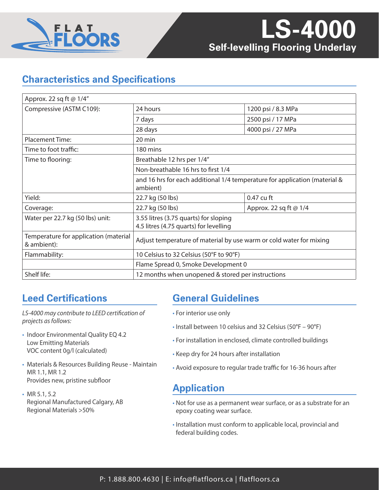

## **Characteristics and Specifications**

| Approx. 22 sq ft @ 1/4"                              |                                                                                        |                        |
|------------------------------------------------------|----------------------------------------------------------------------------------------|------------------------|
| Compressive (ASTM C109):                             | 24 hours                                                                               | 1200 psi / 8.3 MPa     |
|                                                      | 7 days                                                                                 | 2500 psi / 17 MPa      |
|                                                      | 28 days                                                                                | 4000 psi / 27 MPa      |
| <b>Placement Time:</b>                               | 20 min                                                                                 |                        |
| Time to foot traffic:                                | 180 mins                                                                               |                        |
| Time to flooring:                                    | Breathable 12 hrs per 1/4"                                                             |                        |
|                                                      | Non-breathable 16 hrs to first 1/4                                                     |                        |
|                                                      | and 16 hrs for each additional 1/4 temperature for application (material &<br>ambient) |                        |
| Yield:                                               | 22.7 kg (50 lbs)                                                                       | 0.47 cu ft             |
| Coverage:                                            | 22.7 kg (50 lbs)                                                                       | Approx. 22 sq ft @ 1/4 |
| Water per 22.7 kg (50 lbs) unit:                     | 3.55 litres (3.75 quarts) for sloping<br>4.5 litres (4.75 quarts) for levelling        |                        |
| Temperature for application (material<br>& ambient): | Adjust temperature of material by use warm or cold water for mixing                    |                        |
| Flammability:                                        | 10 Celsius to 32 Celsius (50°F to 90°F)                                                |                        |
|                                                      | Flame Spread 0, Smoke Development 0                                                    |                        |
| Shelf life:                                          | 12 months when unopened & stored per instructions                                      |                        |

## **Leed Certifications**

*LS-4000 may contribute to LEED certification of projects as follows:*

- Indoor Environmental Quality EQ 4.2 Low Emitting Materials VOC content 0g/l (calculated)
- Materials & Resources Building Reuse Maintain MR 1.1, MR 1.2 Provides new, pristine subfloor
- MR 5.1, 5.2 Regional Manufactured Calgary, AB Regional Materials >50%

## **General Guidelines**

- For interior use only
- Install between 10 celsius and 32 Celsius (50°F 90°F)
- For installation in enclosed, climate controlled buildings
- Keep dry for 24 hours after installation
- Avoid exposure to regular trade traffic for 16-36 hours after

## **Application**

- Not for use as a permanent wear surface, or as a substrate for an epoxy coating wear surface.
- Installation must conform to applicable local, provincial and federal building codes.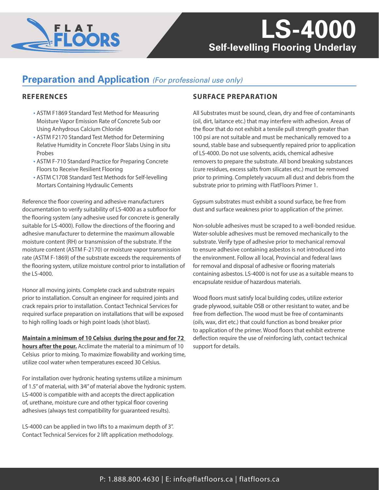

# **Self-levelling Flooring Underlay LS-4000**

## **Preparation and Application** *(For professional use only)*

#### **REFERENCES**

- ASTM F1869 Standard Test Method for Measuring Moisture Vapor Emission Rate of Concrete Sub oor Using Anhydrous Calcium Chloride
- ASTM F2170 Standard Test Method for Determining Relative Humidity in Concrete Floor Slabs Using in situ Probes
- ASTM F-710 Standard Practice for Preparing Concrete Floors to Receive Resilient Flooring
- ASTM C1708 Standard Test Methods for Self-levelling Mortars Containing Hydraulic Cements

Reference the floor covering and adhesive manufacturers documentation to verify suitability of LS-4000 as a subfloor for the flooring system (any adhesive used for concrete is generally suitable for LS-4000). Follow the directions of the flooring and adhesive manufacturer to determine the maximum allowable moisture content (RH) or transmission of the substrate. If the moisture content (ASTM F-2170) or moisture vapor transmission rate (ASTM F-1869) of the substrate exceeds the requirements of the flooring system, utilize moisture control prior to installation of the LS-4000.

Honor all moving joints. Complete crack and substrate repairs prior to installation. Consult an engineer for required joints and crack repairs prior to installation. Contact Technical Services for required surface preparation on installations that will be exposed to high rolling loads or high point loads (shot blast).

**Maintain a minimum of 10 Celsius during the pour and for 72 hours after the pour.** Acclimate the material to a minimum of 10 Celsius prior to mixing. To maximize flowability and working time, utilize cool water when temperatures exceed 30 Celsius.

For installation over hydronic heating systems utilize a minimum of 1.5" of material, with 3⁄4" of material above the hydronic system. LS-4000 is compatible with and accepts the direct application of, urethane, moisture cure and other typical floor covering adhesives (always test compatibility for guaranteed results).

LS-4000 can be applied in two lifts to a maximum depth of 3". Contact Technical Services for 2 lift application methodology.

### **SURFACE PREPARATION**

All Substrates must be sound, clean, dry and free of contaminants (oil, dirt, laitance etc.) that may interfere with adhesion. Areas of the floor that do not exhibit a tensile pull strength greater than 100 psi are not suitable and must be mechanically removed to a sound, stable base and subsequently repaired prior to application of LS-4000. Do not use solvents, acids, chemical adhesive removers to prepare the substrate. All bond breaking substances (cure residues, excess salts from silicates etc.) must be removed prior to priming. Completely vacuum all dust and debris from the substrate prior to priming with FlatFloors Primer 1.

Gypsum substrates must exhibit a sound surface, be free from dust and surface weakness prior to application of the primer.

Non-soluble adhesives must be scraped to a well-bonded residue. Water-soluble adhesives must be removed mechanically to the substrate. Verify type of adhesive prior to mechanical removal to ensure adhesive containing asbestos is not introduced into the environment. Follow all local, Provincial and federal laws for removal and disposal of adhesive or flooring materials containing asbestos. LS-4000 is not for use as a suitable means to encapsulate residue of hazardous materials.

Wood floors must satisfy local building codes, utilize exterior grade plywood, suitable OSB or other resistant to water, and be free from deflection. The wood must be free of contaminants (oils, wax, dirt etc.) that could function as bond breaker prior to application of the primer. Wood floors that exhibit extreme deflection require the use of reinforcing lath, contact technical support for details.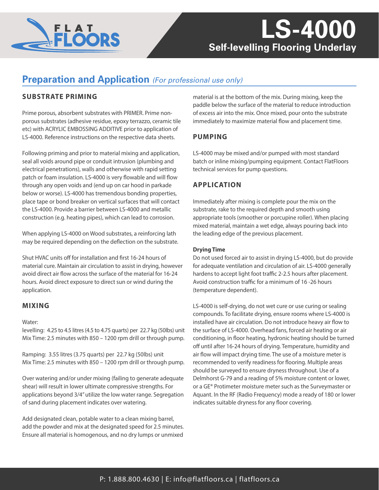

# **Self-levelling Flooring Underlay LS-4000**

## **Preparation and Application** *(For professional use only)*

### **SUBSTRATE PRIMING**

Prime porous, absorbent substrates with PRIMER. Prime nonporous substrates (adhesive residue, epoxy terrazzo, ceramic tile etc) with ACRYLIC EMBOSSING ADDITIVE prior to application of LS-4000. Reference instructions on the respective data sheets.

Following priming and prior to material mixing and application, seal all voids around pipe or conduit intrusion (plumbing and electrical penetrations), walls and otherwise with rapid setting patch or foam insulation. LS-4000 is very flowable and will flow through any open voids and (end up on car hood in parkade below or worse). LS-4000 has tremendous bonding properties, place tape or bond breaker on vertical surfaces that will contact the LS-4000. Provide a barrier between LS-4000 and metallic construction (e.g. heating pipes), which can lead to corrosion.

When applying LS-4000 on Wood substrates, a reinforcing lath may be required depending on the deflection on the substrate.

Shut HVAC units off for installation and first 16-24 hours of material cure. Maintain air circulation to assist in drying, however avoid direct air flow across the surface of the material for 16-24 hours. Avoid direct exposure to direct sun or wind during the application.

#### **MIXING**

#### Water:

levelling: 4.25 to 4.5 litres (4.5 to 4.75 quarts) per 22.7 kg (50lbs) unit Mix Time: 2.5 minutes with 850 – 1200 rpm drill or through pump.

Ramping: 3.55 litres (3.75 quarts) per 22.7 kg (50lbs) unit Mix Time: 2.5 minutes with 850 – 1200 rpm drill or through pump.

Over watering and/or under mixing (failing to generate adequate shear) will result in lower ultimate compressive strengths. For applications beyond 3/4" utilize the low water range. Segregation of sand during placement indicates over watering.

Add designated clean, potable water to a clean mixing barrel, add the powder and mix at the designated speed for 2.5 minutes. Ensure all material is homogenous, and no dry lumps or unmixed

material is at the bottom of the mix. During mixing, keep the paddle below the surface of the material to reduce introduction of excess air into the mix. Once mixed, pour onto the substrate immediately to maximize material flow and placement time.

#### **PUMPING**

LS-4000 may be mixed and/or pumped with most standard batch or inline mixing/pumping equipment. Contact FlatFloors technical services for pump questions.

### **APPLICATION**

Immediately after mixing is complete pour the mix on the substrate, rake to the required depth and smooth using appropriate tools (smoother or porcupine roller). When placing mixed material, maintain a wet edge, always pouring back into the leading edge of the previous placement.

#### **Drying Time**

Do not used forced air to assist in drying LS-4000, but do provide for adequate ventilation and circulation of air. LS-4000 generally hardens to accept light foot traffic 2-2.5 hours after placement. Avoid construction traffic for a minimum of 16 -26 hours (temperature dependent).

LS-4000 is self-drying, do not wet cure or use curing or sealing compounds. To facilitate drying, ensure rooms where LS-4000 is installed have air circulation. Do not introduce heavy air flow to the surface of LS-4000. Overhead fans, forced air heating or air conditioning, in floor heating, hydronic heating should be turned off until after 16-24 hours of drying. Temperature, humidity and air flow will impact drying time. The use of a moisture meter is recommended to verify readiness for flooring. Multiple areas should be surveyed to ensure dryness throughout. Use of a Delmhorst G-79 and a reading of 5% moisture content or lower, or a GE® Protimeter moisture meter such as the Surveymaster or Aquant. In the RF (Radio Frequency) mode a ready of 180 or lower indicates suitable dryness for any floor covering.